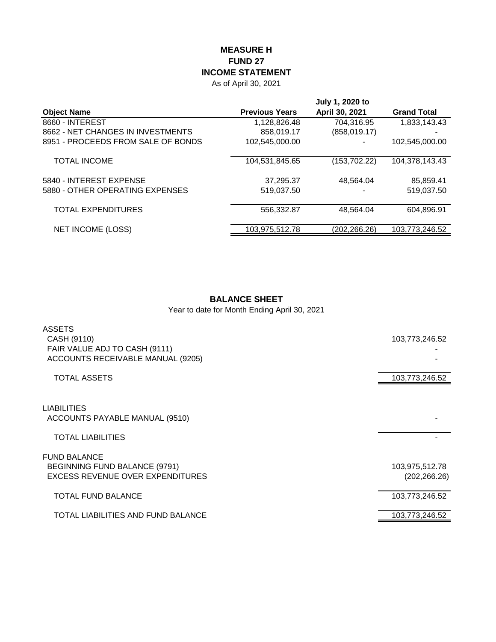## **MEASURE H FUND 27 INCOME STATEMENT**

As of April 30, 2021

|                                    | July 1, 2020 to       |                |                    |  |  |
|------------------------------------|-----------------------|----------------|--------------------|--|--|
| <b>Object Name</b>                 | <b>Previous Years</b> | April 30, 2021 | <b>Grand Total</b> |  |  |
| 8660 - INTEREST                    | 1,128,826.48          | 704.316.95     | 1,833,143.43       |  |  |
| 8662 - NET CHANGES IN INVESTMENTS  | 858,019.17            | (858, 019.17)  | -                  |  |  |
| 8951 - PROCEEDS FROM SALE OF BONDS | 102,545,000.00        |                | 102,545,000.00     |  |  |
| <b>TOTAL INCOME</b>                | 104,531,845.65        | (153, 702.22)  | 104,378,143.43     |  |  |
| 5840 - INTEREST EXPENSE            | 37,295.37             | 48,564.04      | 85,859.41          |  |  |
| 5880 - OTHER OPERATING EXPENSES    | 519,037.50            |                | 519.037.50         |  |  |
| TOTAL EXPENDITURES                 | 556,332.87            | 48,564.04      | 604,896.91         |  |  |
| <b>NET INCOME (LOSS)</b>           | 103,975,512.78        | (202,266.26)   | 103,773,246.52     |  |  |

## **BALANCE SHEET**

Year to date for Month Ending April 30, 2021

| <b>ASSETS</b><br>CASH (9110)<br>FAIR VALUE ADJ TO CASH (9111)<br>ACCOUNTS RECEIVABLE MANUAL (9205) | 103,773,246.52                  |
|----------------------------------------------------------------------------------------------------|---------------------------------|
| <b>TOTAL ASSETS</b>                                                                                | 103,773,246.52                  |
| <b>LIABILITIES</b><br>ACCOUNTS PAYABLE MANUAL (9510)                                               |                                 |
| <b>TOTAL LIABILITIES</b>                                                                           |                                 |
| <b>FUND BALANCE</b><br>BEGINNING FUND BALANCE (9791)<br>EXCESS REVENUE OVER EXPENDITURES           | 103,975,512.78<br>(202, 266.26) |
| <b>TOTAL FUND BALANCE</b>                                                                          | 103,773,246.52                  |
| TOTAL LIABILITIES AND FUND BALANCE                                                                 | 103,773,246.52                  |